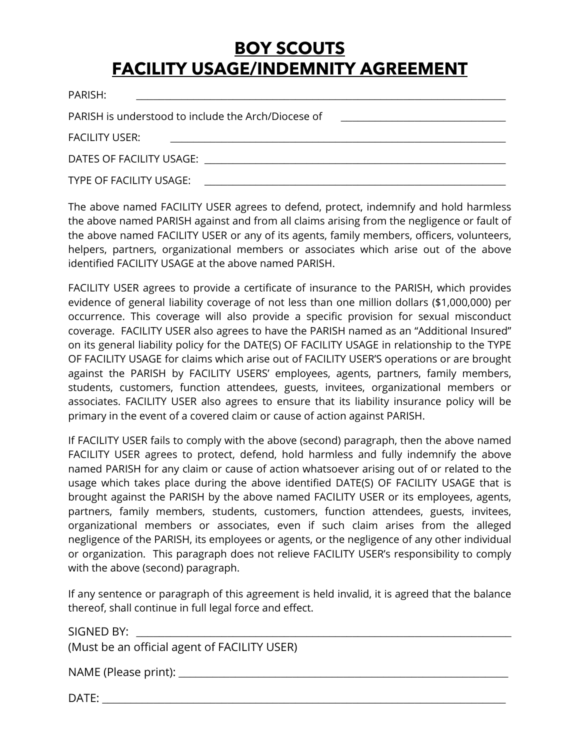## **BOY SCOUTS FACILITY USAGE/INDEMNITY AGREEMENT**

| PARISH:                                             |
|-----------------------------------------------------|
| PARISH is understood to include the Arch/Diocese of |
| <b>FACILITY USER:</b>                               |
|                                                     |
| TYPE OF FACILITY USAGE:                             |

The above named FACILITY USER agrees to defend, protect, indemnify and hold harmless the above named PARISH against and from all claims arising from the negligence or fault of the above named FACILITY USER or any of its agents, family members, officers, volunteers, helpers, partners, organizational members or associates which arise out of the above identified FACILITY USAGE at the above named PARISH.

FACILITY USER agrees to provide a certificate of insurance to the PARISH, which provides evidence of general liability coverage of not less than one million dollars (\$1,000,000) per occurrence. This coverage will also provide a specific provision for sexual misconduct coverage. FACILITY USER also agrees to have the PARISH named as an "Additional Insured" on its general liability policy for the DATE(S) OF FACILITY USAGE in relationship to the TYPE OF FACILITY USAGE for claims which arise out of FACILITY USER'S operations or are brought against the PARISH by FACILITY USERS' employees, agents, partners, family members, students, customers, function attendees, guests, invitees, organizational members or associates. FACILITY USER also agrees to ensure that its liability insurance policy will be primary in the event of a covered claim or cause of action against PARISH.

If FACILITY USER fails to comply with the above (second) paragraph, then the above named FACILITY USER agrees to protect, defend, hold harmless and fully indemnify the above named PARISH for any claim or cause of action whatsoever arising out of or related to the usage which takes place during the above identified DATE(S) OF FACILITY USAGE that is brought against the PARISH by the above named FACILITY USER or its employees, agents, partners, family members, students, customers, function attendees, guests, invitees, organizational members or associates, even if such claim arises from the alleged negligence of the PARISH, its employees or agents, or the negligence of any other individual or organization. This paragraph does not relieve FACILITY USER's responsibility to comply with the above (second) paragraph.

If any sentence or paragraph of this agreement is held invalid, it is agreed that the balance thereof, shall continue in full legal force and effect.

SIGNED BY:

(Must be an official agent of FACILITY USER)

NAME (Please print): \_\_\_\_\_\_\_\_\_\_\_\_\_\_\_\_\_\_\_\_\_\_\_\_\_\_\_\_\_\_\_\_\_\_\_\_\_\_\_\_\_\_\_\_\_\_\_\_\_\_\_\_\_\_\_\_\_\_

 $\blacksquare$  DATE: